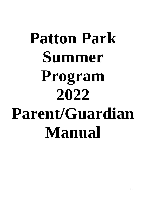# **Patton Park Summer Program 2022 Parent/Guardian Manual**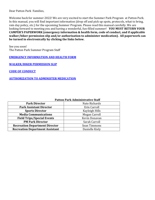Dear Patton Park Families,

Welcome back for summer 2022! We are very excited to start the Summer Park Program at Patton Park. In this manual, you will find important information (drop off and pick up spots, protocols, what to bring, rain day policy, etc.) for the upcoming Summer Program. Please read this manual carefully. We are looking forward to meeting you and having a wonderful, fun-filled summer! **YOU MUST RETURN YOUR CAMPER'S PAPERWORK (emergency information & health form, code of conduct, and if applicable walker/biker permission slip and/or authorization to administer medication). All paperwork can be turned in electronically by clicking the links below.**

See you soon! The Patton Park Summer Program Staff

**[EMERGENCY INFORMATION AND HEALTH FORM](https://hamiltonma.seamlessdocs.com/f/ok7uh7u8wn1j)**

**[WALKER/BIKER PERMISSION SLIP](https://hamiltonma.seamlessdocs.com/f/2odwjivb8j74)**

**[CODE OF CONDUCT](https://hamiltonma.seamlessdocs.com/f/codeofconduct)**

#### **[AUTHORIZATION TO ADMINISTER MEDICATION](https://hamiltonma.seamlessdocs.com/f/authorizationtoadministermedication)**

#### **Patton Park Administrative Staff**

| <b>Park Director</b>                   | Nate Richards  |  |  |
|----------------------------------------|----------------|--|--|
| <b>Park Assistant Director</b>         | Erin Carroll   |  |  |
| <b>Sports Director</b>                 | Kayleigh Hills |  |  |
| <b>Media Communications</b>            | Megan Carroll  |  |  |
| <b>Field Trips/Special Events</b>      | Kevin Donavan  |  |  |
| <b>PM Park Director</b>                | Sarah Carroll  |  |  |
| <b>Recreation Department Director</b>  | Sean Timmons   |  |  |
| <b>Recreation Department Assistant</b> | Danielle Kiely |  |  |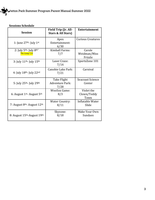

## **Sessions Schedule**

| <b>Session</b>                                      | Field Trip (Jr. All-<br><b>Stars &amp; All Stars)</b> | <b>Entertainment</b>              |  |  |
|-----------------------------------------------------|-------------------------------------------------------|-----------------------------------|--|--|
| 1: June $27th$ - July $1st$                         | Apex<br>Entertainment:<br>6/30                        | <b>Curious Creatures</b>          |  |  |
| 2: July $5^{th}$ - July $8^{th*}$<br>*No Camp 7/4   | <b>Kimball Farms:</b><br>7/7                          | Carole<br>Weidman/Miss<br>Frizzle |  |  |
| 3: July $11^{\text{th}}$ - July $15^{\text{th}}$    | Laser Craze:<br>7/14                                  | SportsZone 101                    |  |  |
| 4: July $18^{th}$ - July $22^{nd}$                  | Canobie Lake Park:<br>7/21                            | Carnival                          |  |  |
| 5: July 25 <sup>th</sup> - July 29 <sup>th</sup>    | Take Flight<br><b>Adventure Park:</b><br>7/28         | <b>Seacoast Science</b><br>Center |  |  |
| 6: August $1st$ - August $5th$                      | <b>WooSox Game:</b><br>8/3                            | Violet the<br>Clown/Teddy<br>Town |  |  |
| 7: August $8th$ - August $12th$                     | <b>Water Country:</b><br>8/11                         | Inflatable Water<br>Slide         |  |  |
| 8: August 15 <sup>th</sup> -August 19 <sup>th</sup> | Skyzone:<br>8/18                                      | Make Your Own<br><b>Sundaes</b>   |  |  |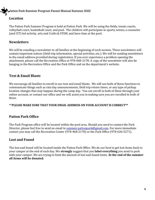#### **Location**

The Patton Park Summer Program is held at Patton Park. We will be using the fields, tennis courts, volleyball court, basketball court, and pool. The children will participate in sports, tennis, a counselor (and CIT) led activity, arts and Crafts & STEM, and have time at the pool.

#### **Newsletters**

We will be emailing a newsletter to all families at the beginning of each session. These newsletters will contain important notices (field trip information, special activities, etc.). We will be sending newsletters to the email address provided during registration. If you ever experience a problem opening the attachment, please call the Recreation Office at 978-468-2178. A copy of the newsletter will also be hanging in the Recreation Office and the Park Office and on the department's website.

#### **Text & Email Blasts**

We encourage all families to enroll in our text and email blasts. We will use both of these functions to communicate things such as rain day announcements, field trip return times, or any type of pickup location changes that may happen during the camp day. You can enroll in both of these through your online account, or contact our office and we will assist you in making sure you are enrolled in both of these.

#### \*\***PLEASE MAKE SURE THAT YOUR EMAIL ADDRESS ON YOUR ACCOUNT IS CORRECT\*\***

#### **Patton Park Office**

The Park Program office will be located within the pool area. Should you need to contact the Park Director, please feel free to send an email t[o summer.pattonpark@gmail.com.](mailto:summer.pattonpark@gmail.com) For more immediate contact you may call the Recreation Center (978-468-2178) or the Park Office (978-626-5271).

#### **Lost and Found**

The lost and found will be located inside the Patton Park Office. We do our best to get lost items back to your camper at the end of each day. We **strongly** suggest that you **label everything** you send to park with your camper. We are trying to limit the amount of lost and found items. **At the end of the summer all items will be donated.**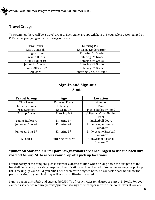

#### **Travel Groups**

This summer, there will be 8 travel groups. Each travel groups will have 3-5 counselors accompanied by CITs in our younger groups. Our age groups are:

| Tiny Tanks                      | <b>Entering Pre-K</b>          |  |  |
|---------------------------------|--------------------------------|--|--|
| Little Generals                 | <b>Entering Kindergarten</b>   |  |  |
| <b>Frog Catchers</b>            | Entering 1 <sup>st</sup> Grade |  |  |
| Swamp Ducks                     | Entering 2 <sup>nd</sup> Grade |  |  |
| <b>Young Explorers</b>          | Entering 3rd Grade             |  |  |
| Junior All Star 4th             | Entering 4th Grade             |  |  |
| Junior All Star 5 <sup>th</sup> | Entering 5th Grade             |  |  |
| All Stars                       | Entering 6th & 7th Grade       |  |  |

## **Sign-in and Sign-out Spots**

| <b>Travel Group</b>             | Age                      | <b>Location</b>                |  |  |
|---------------------------------|--------------------------|--------------------------------|--|--|
| Tiny Tanks                      | <b>Entering Pre-K</b>    | Gazebo                         |  |  |
| Little Generals                 | Entering K               | Tank                           |  |  |
| <b>Frog Catchers</b>            | Entering 1st             | Picnic Tables by Pond          |  |  |
| <b>Swamp Ducks</b>              | Entering 2nd             | <b>Volleyball Court Behind</b> |  |  |
|                                 |                          | Pool                           |  |  |
| <b>Young Explorers</b>          | Entering 3rd             | <b>Basketball Court</b>        |  |  |
| Junior All Star 4th             | Entering 4th             | Little League Baseball         |  |  |
|                                 |                          | Diamond*                       |  |  |
| Junior All Star 5 <sup>th</sup> | Entering 5 <sup>th</sup> | Little League Baseball         |  |  |
|                                 |                          | Diamond*                       |  |  |
| All Stars                       | Entering 6th & 7th       | <b>High School Baseball</b>    |  |  |
|                                 |                          | Diamond*                       |  |  |

#### **\*Junior All Star and All Star parents/guardians are encouraged to use the back dirt road off Asbury St. to access your drop off/ pick up locations.**

For the safety of the campers, please exercise extreme caution when driving down the dirt path to the baseball fields. Also, for safety purposes, identifications will be checked. If someone not on your pick-up list is picking up your child, you MUST send them with a signed note. If a counselor does not know the person picking up your child they will ask for an ID—be prepared.

Sign-in begins at 8:45AM and ends at 9:00AM. The first activities for all groups start at 9:10AM. For your camper's safety, we require parents/guardians to sign their camper in with their counselors. If you are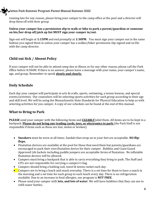running late for any reason, please bring your camper to the camp office at the pool and a director will drop them off with their group.

#### **Unless your camper has a permission slip to walk or bike to park a parent/guardian or someone on his/her drop off/pick up list MUST sign your camper in/out.**

Sign-out will begin at **1:15PM** and end promptly at **1:30PM**. You must sign your camper out in the same fashion you signed them in unless your camper has a walker/biker permission slip signed and on file with the camp director.

## **Child out Sick / Absent Policy**

If your camper will not be able to attend camp due to illness or for any other reason, please call the Park Office before 8:30AM. If there is no answer, please leave a message with your name, your camper's name, age, and group. Remember to speak **slowly and clearly.**

## **Daily Schedule**

Each day your camper will participate in arts & crafts, sports, swimming, a tennis lessons, and special events/activities. Our counselors will be selecting sports activities for each group according to their age and skill level. We will be using the Massachusetts State Standards for Physical Education to help us with selecting activities for you camper. A copy of our schedule can be found at the end of this manual.

### **What to Bring to Park**

**PLEASE** send your camper with the following items and **CLEARLY** label them. All items are to be kept in a backpack. **Please do not bring any trading cards, toys, or electronics to park** (the Park Staff is not responsible if items such as these are lost, stolen or broken).

- **Sneakers** must be worn at all times. Sandals that strap on to your feet are acceptable. **NO flipflops.**
- Floatation devices are available at the pool for those that need them but parents/guardians are encouraged to pack their own floatation device for their camper. Bubbles and Coast Guard Approved Life Jackets including puddle jumpers are acceptable forms of floatation. No inflatable floatation devices will be allowed.
- Campers must bring a backpack that is able to carry everything they bring to park. The Staff and CITs are not responsible for carrying a campers's bag.
- Campers should bring a bathing suit, towel & tennis racket each day.
- $\bullet$  Campers are to bring a lunch and snack everyday. There is a set time for them to have a snack in the morning and a set time for each group to each lunch every day. There is no refrigeration available. Due to an increase in food allergies, our program is **NUT FREE**.
- Please send your camper with **lots, and lots of water**. We will have bubblers that they can use to refill water bottles.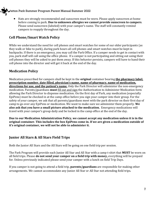Hats are strongly recommended and sunscreen must be worn. Please apply sunscreen at home before coming to park. **Due to unknown allergies we cannot provide sunscreen to campers**. Please send sunscreen (labeled) with your camper's name. The staff will constantly remind campers to reapply throughout the day.

## **Cell Phone/Smart Watch Policy**

While we understand the need for cell phones and smart watches for some of our older participants (as they walk or bike to park), during park hours all cell phones and smart watches must be kept in backpacks. If there is an emergency, you may call the Park Office. If a camper needs to get in contact with you, park staff will call using the office phone. If a camper is not participating and sitting out using their cell phones they will be asked to put them away. If this behavior persists, campers will have to hand their cell phone into the director and will get it back at the end of the day.

## **Medication Policy**

Medication prescribed for campers shall be kept in the **original** container bearing **the pharmacy label, prescription number, date filled, physician's name, name of pharmacy, name of medication, directions for use, and the patient's name**. Only the Park Director will administer the non-emergency medication. Parents/guardians **must** fill out and sign the Authorization to Administer Medication form allowing the Park Director to dispense medication. On the first day of Park, any medication (especially EpiPens) must be checked in at the camp office before you sign your camper into their group. For the safety of your camper, we ask that all parents/guardians meet with the park director on their first day of camp to go over any EpiPens or medication. We want to make sure we administer them properly. **We also ask that you have a small picture attached to the medication.** Emergency medications will travel with your camper's group daily and be locked in the camp office at the end of the day.

**Due to our Medication Administration Policy, we cannot accept any medication unless it is in the original container. This includes the box EpiPens come in. If we are given a medication outside of it's original container, we will not be able to administer it.**

### **Junior All Stars & All Stars Field Trips**

Both the Junior All Stars and the All Stars will be going on one field trip per session.

The Park Program will provide each Junior All Star and All Star with a camp t-shirt that **MUST** be worn on all field trips. Please **do not send your camper on a field trip with money,** everything will be prepaid for. Unless previously indicated please send your camper with a lunch on field Trip Days.

If you camper is not going to attend a field trip, **parents/guardians** are responsible for making other arrangements. We cannot accommodate any Junior All Star or All Star not attending field trips.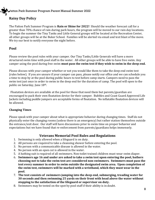#### **Rainy Day Policy**

The Patton Park Summer Program is **Rain or Shine for 2022!** Should the weather forecast call for a greater than 70% chance of rain during park hours, the program will be moved to our rain day locations. To begin the summer the Tiny Tanks and Little General groups will be located at the Recreation Center, all other groups will be at the Buker School. Families will be alerted via email and text blast of the move. We try our best to notify everyone the night before.

#### **Pool**

Please review the pool rules with your camper. Our Tiny Tanks/Little Generals will have a more structured swim time with pool staff in the water. All other groups will be able to have free swim. Any camper using the pool during free swim **must pass the swim test if they wish to swim in the deep end.**

Please discuss with your camper whether or not you would like them to take the deep end swim test (rules below). If you are unsure if your camper can pass, please notify our office and we can schedule you a time to stop by at the pool during public hours to test before camp starts. Campers need to pass the swim test just once in order to swim in the deep end for the duration of camp. The pool will open to the public on Saturday, June 18th.

Floatation devices are available at the pool for those that need them but parents/guardian are encouraged to pack their own floatation device for their camper. Bubbles and Coast Guard Approved Life Jackets including puddle jumpers are acceptable forms of floatation. No inflatable floatation devices will be allowed.

#### **Changing Times**

Please speak with your camper about what is appropriate behavior during changing times. Staff do not physically enter the changing rooms (unless there is an emergency) but rather station themselves outside the entrance/exit door. Our staff will have discussions prior to swim time on proper behavior and expectations but we have found that re-enforcement from parents/guardians helps immensely.

#### **Veterans Memorial Pool Rules and Regulations**

- 1. Swimming is only allowed when a lifeguard is on duty.
- 2. All persons are required to take a cleansing shower before entering the pool.
- 3. No person with a communicable disease is allowed in the water.
- 4. No person with an open cut is allowed in the water.
- 5. A bathing suit is required of all swimmers. Non-toilet trained children must wear swim diaper.
- 6. **Swimmers age 16 and under are asked to take a swim test upon entering the pool, bathers choosing not to take the swim test are considered non-swimmers. Swimmers must pass the test every summer in order to swim outside the designated swim area. Upon completion of the swim test, swimmers will be marked with a wristband, which they must wear in the pool.**
- 7. **The test consists of swimmers jumping into the deep end, submerging, treading water for 30 seconds and then swimming 25 yards on their front with head above the water without stopping to the satisfaction of the lifeguard or supervisor on duty.**
- 8. Swimmers may be tested on the spot by pool staff if their ability is in doubt.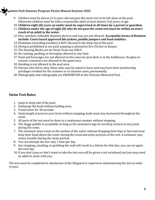- 9. Children must be eleven (11) years old and pass the swim test to be left alone at the pool. Otherwise children must be with a responsible adult at least sixteen (16) years of age.
- 10. **Children eight (8) years an under must be supervised at all times by a parent or guardian.**
- 11. **Children under the age of eight (8) who do not pass the swim test must be within an arm's reach of an adult in the water.**
- 12. Fins, snorkels, inflatable flotation devices and toys are not allowed. **Acceptable forms of flotation include: Coast Guard approved life jackets, puddle jumpers and foam bubbles.**
- 13. Floatation (including noodles) is NOT allowed in the deep end of the pool.
- 14. Diving is prohibited at our pool; jumping is allowed in five (5) feet or deeper.
- 15. The Starting Blocks are for Swim Team use ONLY.
- 16. No running, pushing, or horseplay allowed at any time.
- 17. Food and beverages are not allowed on the concrete pool deck or in the bathhouse. No glass or ceramic containers are allowed in the gated area.
- 18. Smoking is not allowed in the pool area.
- 19. Patrons who fail to obey these rules may be asked to leave and may have their membership privileges revoked for the summer or in extreme cases, permanently.
- 20. Photography and videography are PROHIBITED at the Veterans Memorial Pool.

## **Swim Test Rules**

- 1. Jump in deep end of the pool.
- 2. Submerge the head without holding nose.
- 3. Tread water for 30 seconds.
- 4. Swim length of pool on your front without stopping, body must stay horizontal throughout the swim.
- 5. All parts of the test must be done in a continuous manner without stopping.
- 6. The doggy paddle is acceptable so long as the swimmers legs do not drop vertical at any point during the swim.
- 7. The swimmer must swim on the surface of the water without dropping their hips or feet and must keep their head above the water during the tread and swim portions of the test. A swimmer may rotary breathe during the swim portion.
- 8. You can attempt the test only 1 time per day.
- 9. Any stopping, standing, or grabbing the wall will result in a failure for that day; you can try again the next day.
- 10. If you don't pass or don't want to take the test you will be given a red wristband and you may need an adult to swim with you.

The test must be completed to satisfaction of the lifeguard or supervisor administering the test in order to pass.